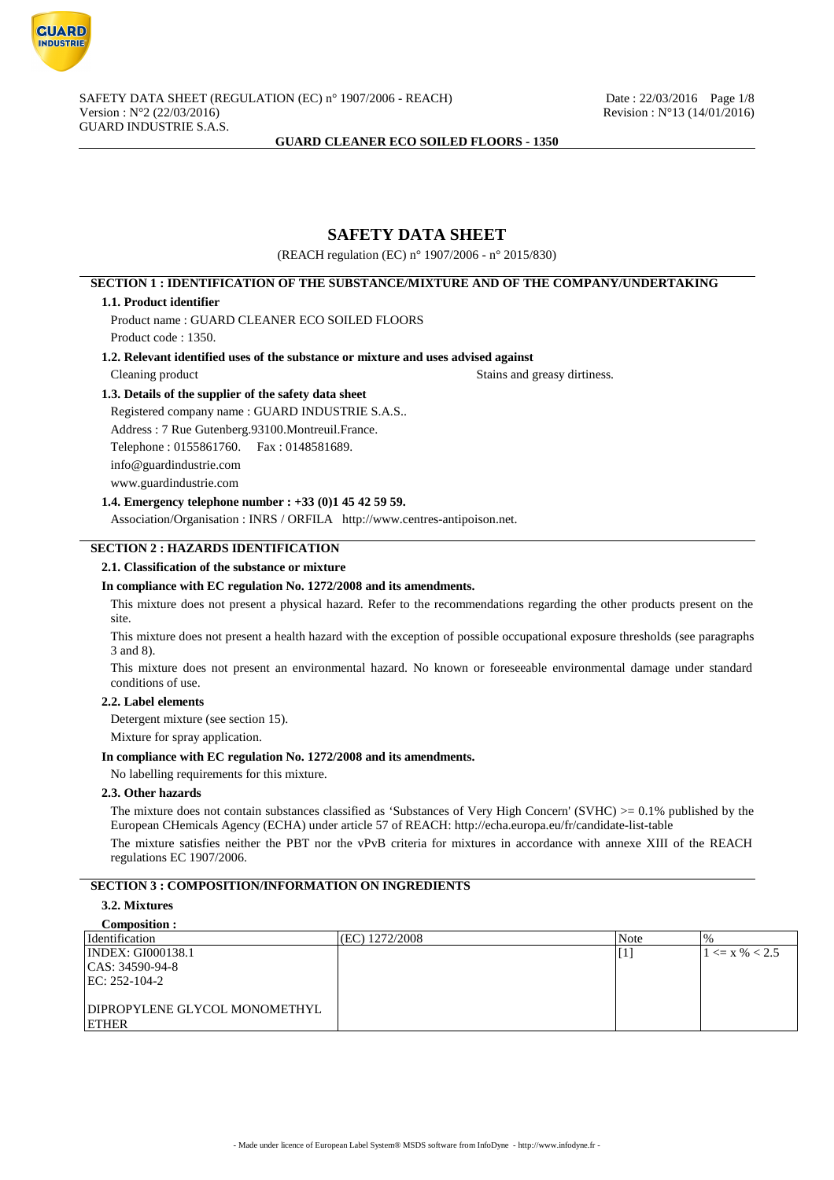

# **SAFETY DATA SHEET**

(REACH regulation (EC) n° 1907/2006 - n° 2015/830)

## **SECTION 1 : IDENTIFICATION OF THE SUBSTANCE/MIXTURE AND OF THE COMPANY/UNDERTAKING**

### **1.1. Product identifier**

Product name : GUARD CLEANER ECO SOILED FLOORS

Product code : 1350.

### **1.2. Relevant identified uses of the substance or mixture and uses advised against**

Cleaning product Stains and greasy dirtiness.

## **1.3. Details of the supplier of the safety data sheet**

Registered company name : GUARD INDUSTRIE S.A.S.. Address : 7 Rue Gutenberg.93100.Montreuil.France. Telephone : 0155861760. Fax : 0148581689. info@guardindustrie.com www.guardindustrie.com

### **1.4. Emergency telephone number : +33 (0)1 45 42 59 59.**

Association/Organisation : INRS / ORFILA http://www.centres-antipoison.net.

## **SECTION 2 : HAZARDS IDENTIFICATION**

### **2.1. Classification of the substance or mixture**

### **In compliance with EC regulation No. 1272/2008 and its amendments.**

This mixture does not present a physical hazard. Refer to the recommendations regarding the other products present on the site.

This mixture does not present a health hazard with the exception of possible occupational exposure thresholds (see paragraphs 3 and 8).

This mixture does not present an environmental hazard. No known or foreseeable environmental damage under standard conditions of use.

#### **2.2. Label elements**

Detergent mixture (see section 15).

Mixture for spray application.

### **In compliance with EC regulation No. 1272/2008 and its amendments.**

No labelling requirements for this mixture.

### **2.3. Other hazards**

The mixture does not contain substances classified as 'Substances of Very High Concern' (SVHC)  $> = 0.1\%$  published by the European CHemicals Agency (ECHA) under article 57 of REACH: http://echa.europa.eu/fr/candidate-list-table

The mixture satisfies neither the PBT nor the vPvB criteria for mixtures in accordance with annexe XIII of the REACH regulations EC 1907/2006.

### **SECTION 3 : COMPOSITION/INFORMATION ON INGREDIENTS**

### **3.2. Mixtures**

**Composition :**

| <i>dentification</i>          | (EC) 1272/2008 | Note    | $\%$               |
|-------------------------------|----------------|---------|--------------------|
| <b>INDEX: GI000138.1</b>      |                | $\perp$ | $1 \le x \% < 2.5$ |
| $ CAS: 34590-94-8$            |                |         |                    |
| $ EC: 252-104-2 $             |                |         |                    |
|                               |                |         |                    |
| DIPROPYLENE GLYCOL MONOMETHYL |                |         |                    |
| ETHER                         |                |         |                    |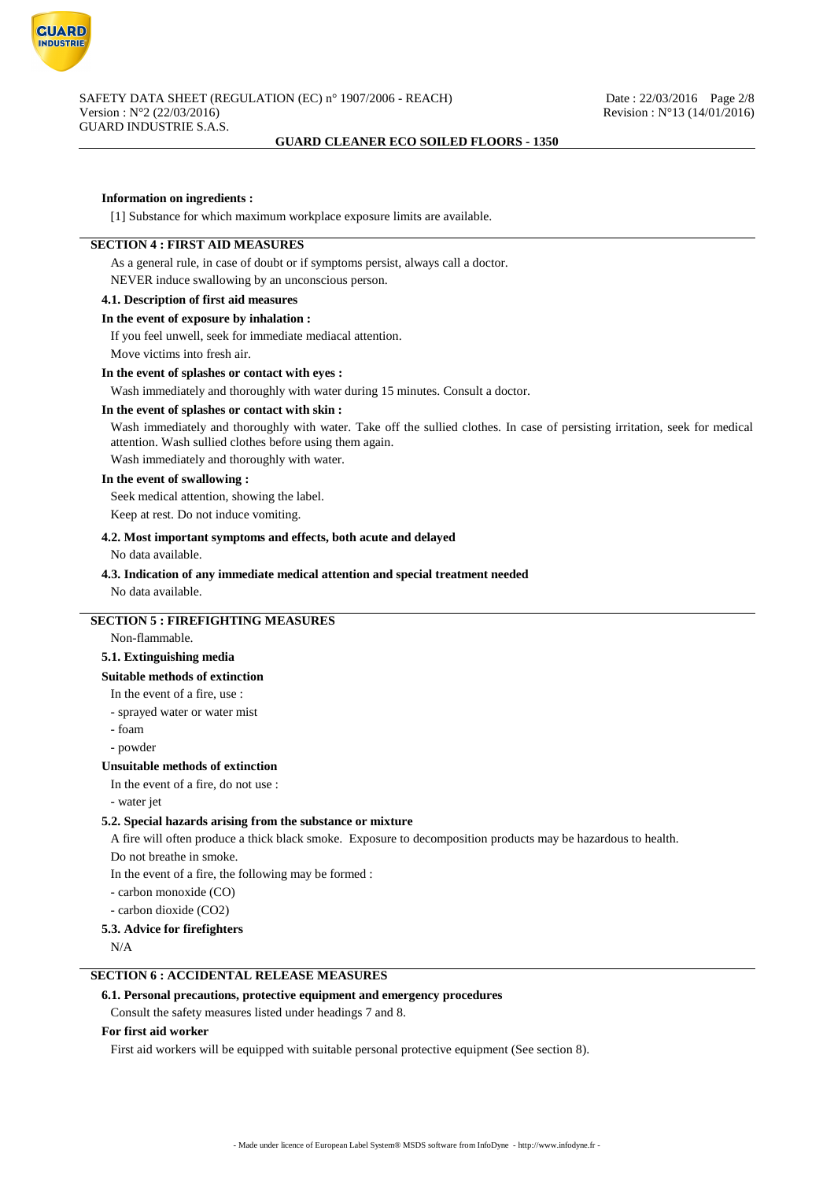

### **Information on ingredients :**

[1] Substance for which maximum workplace exposure limits are available.

### **SECTION 4 : FIRST AID MEASURES**

As a general rule, in case of doubt or if symptoms persist, always call a doctor. NEVER induce swallowing by an unconscious person.

### **4.1. Description of first aid measures**

### **In the event of exposure by inhalation :**

If you feel unwell, seek for immediate mediacal attention.

Move victims into fresh air.

#### **In the event of splashes or contact with eyes :**

Wash immediately and thoroughly with water during 15 minutes. Consult a doctor.

### **In the event of splashes or contact with skin :**

Wash immediately and thoroughly with water. Take off the sullied clothes. In case of persisting irritation, seek for medical attention. Wash sullied clothes before using them again.

Wash immediately and thoroughly with water.

### **In the event of swallowing :**

Seek medical attention, showing the label.

Keep at rest. Do not induce vomiting.

### **4.2. Most important symptoms and effects, both acute and delayed**

No data available.

# **4.3. Indication of any immediate medical attention and special treatment needed**

No data available.

# **SECTION 5 : FIREFIGHTING MEASURES**

Non-flammable.

## **5.1. Extinguishing media**

### **Suitable methods of extinction**

In the event of a fire, use :

- sprayed water or water mist
- foam
- powder

### **Unsuitable methods of extinction**

In the event of a fire, do not use :

- water jet

## **5.2. Special hazards arising from the substance or mixture**

A fire will often produce a thick black smoke. Exposure to decomposition products may be hazardous to health.

Do not breathe in smoke.

In the event of a fire, the following may be formed :

- carbon monoxide (CO)

- carbon dioxide (CO2)

### **5.3. Advice for firefighters**

N/A

### **SECTION 6 : ACCIDENTAL RELEASE MEASURES**

### **6.1. Personal precautions, protective equipment and emergency procedures**

Consult the safety measures listed under headings 7 and 8.

#### **For first aid worker**

First aid workers will be equipped with suitable personal protective equipment (See section 8).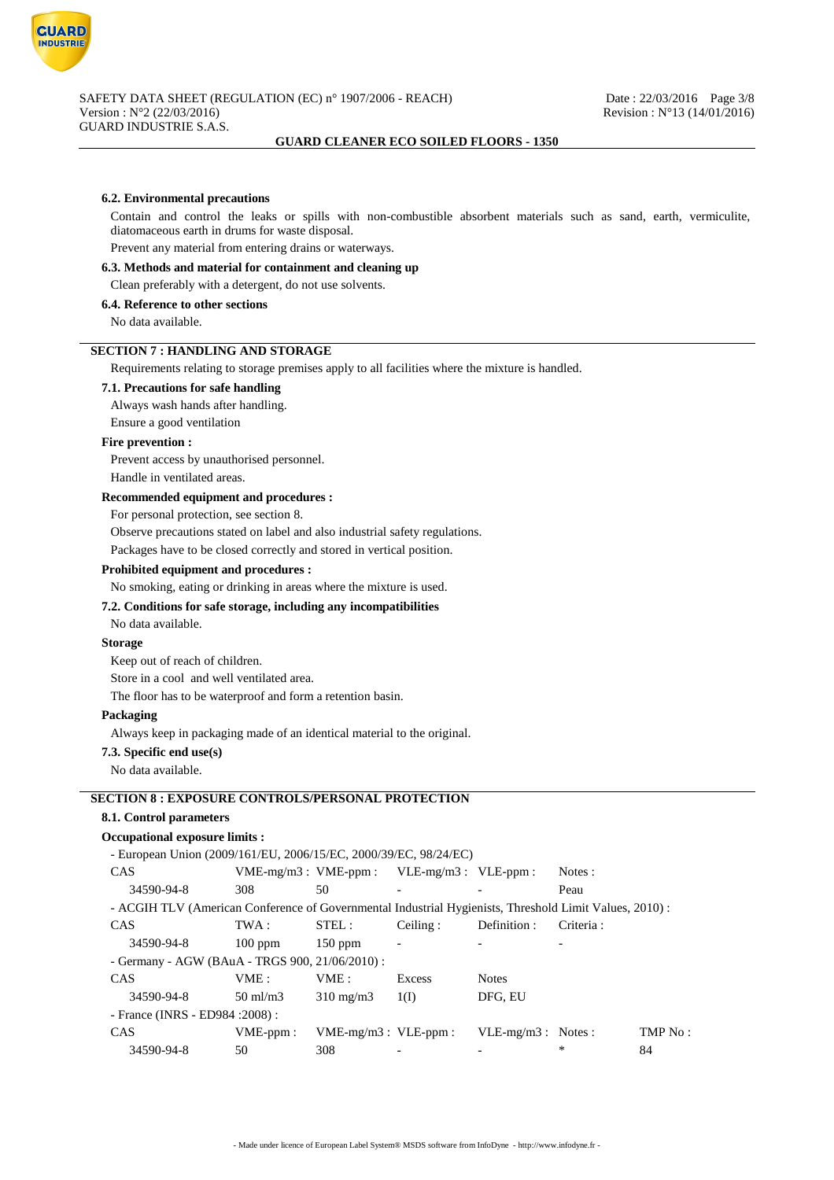

#### **6.2. Environmental precautions**

Contain and control the leaks or spills with non-combustible absorbent materials such as sand, earth, vermiculite, diatomaceous earth in drums for waste disposal.

Prevent any material from entering drains or waterways.

## **6.3. Methods and material for containment and cleaning up**

Clean preferably with a detergent, do not use solvents.

### **6.4. Reference to other sections**

No data available.

### **SECTION 7 : HANDLING AND STORAGE**

Requirements relating to storage premises apply to all facilities where the mixture is handled.

#### **7.1. Precautions for safe handling**

Always wash hands after handling.

Ensure a good ventilation

#### **Fire prevention :**

Prevent access by unauthorised personnel.

Handle in ventilated areas.

### **Recommended equipment and procedures :**

For personal protection, see section 8.

Observe precautions stated on label and also industrial safety regulations.

Packages have to be closed correctly and stored in vertical position.

#### **Prohibited equipment and procedures :**

### No smoking, eating or drinking in areas where the mixture is used.

## **7.2. Conditions for safe storage, including any incompatibilities**

No data available.

### **Storage**

Keep out of reach of children.

Store in a cool and well ventilated area.

The floor has to be waterproof and form a retention basin.

#### **Packaging**

Always keep in packaging made of an identical material to the original.

### **7.3. Specific end use(s)**

No data available.

## **SECTION 8 : EXPOSURE CONTROLS/PERSONAL PROTECTION**

### **8.1. Control parameters**

### **Occupational exposure limits :**

- European Union (2009/161/EU, 2006/15/EC, 2000/39/EC, 98/24/EC)

| <b>CAS</b>                                                                                              | $VME-mg/m3$ : $VME-ppm$ : |                           | $VLE-mg/m3$ : $VLE-ppm$ : |                      | Notes:    |         |
|---------------------------------------------------------------------------------------------------------|---------------------------|---------------------------|---------------------------|----------------------|-----------|---------|
| 34590-94-8                                                                                              | 308                       | 50                        |                           |                      | Peau      |         |
| - ACGIH TLV (American Conference of Governmental Industrial Hygienists, Threshold Limit Values, 2010) : |                           |                           |                           |                      |           |         |
| CAS                                                                                                     | TWA :                     | STEL:                     | Ceiling:                  | Definition :         | Criteria: |         |
| 34590-94-8                                                                                              | $100$ ppm                 | $150$ ppm                 |                           |                      |           |         |
| - Germany - AGW (BAuA - TRGS 900, 21/06/2010) :                                                         |                           |                           |                           |                      |           |         |
| CAS                                                                                                     | VME:                      | VME:                      | Excess                    | <b>Notes</b>         |           |         |
| 34590-94-8                                                                                              | $50 \text{ ml/m}$ 3       | $310 \text{ mg/m}$        | 1(I)                      | DFG, EU              |           |         |
| - France (INRS - ED984 : 2008) :                                                                        |                           |                           |                           |                      |           |         |
| CAS                                                                                                     | $VME-ppm$ :               | $VME-mg/m3$ : $VLE-ppm$ : |                           | $VLE-mg/m3$ : Notes: |           | TMP No: |
| 34590-94-8                                                                                              | 50.                       | 308                       |                           |                      | *         | 84      |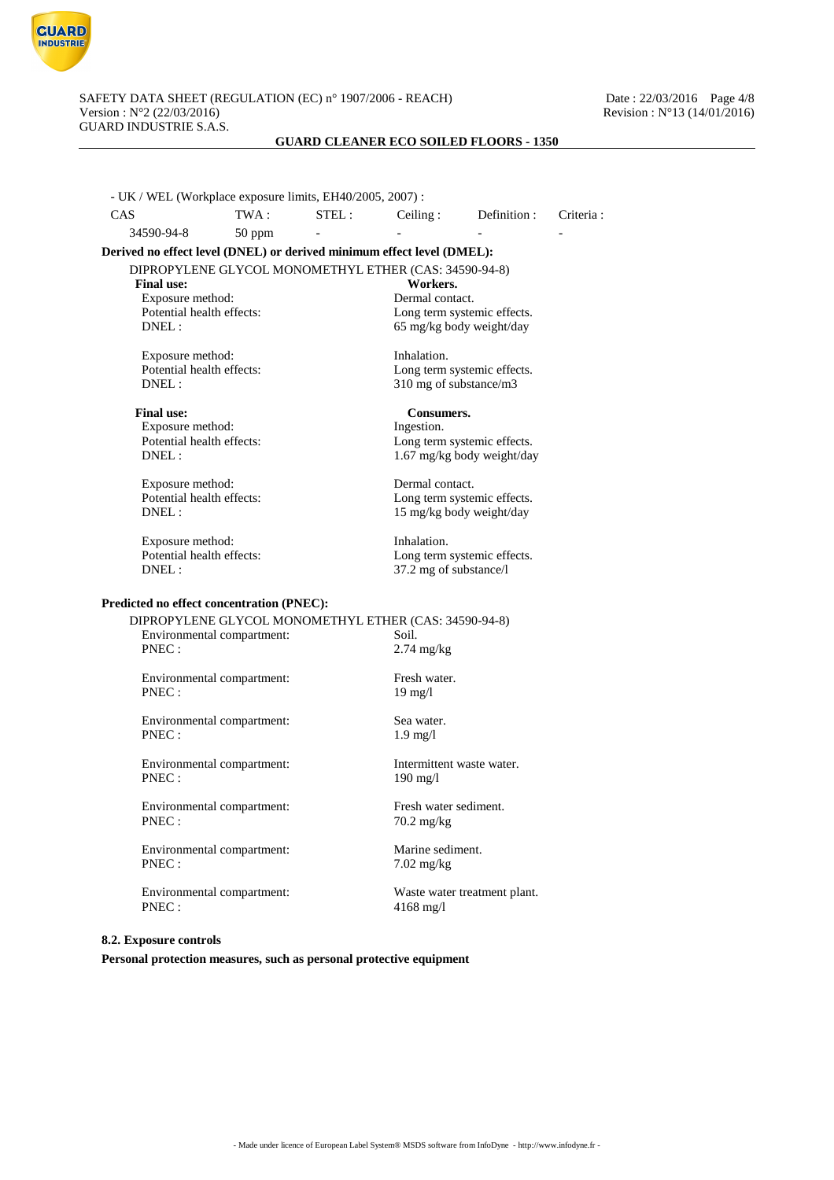

- UK / WEL (Workplace exposure limits, EH40/2005, 2007) : CAS TWA : STEL : Ceiling : Definition : Criteria : 34590-94-8 50 ppm **Derived no effect level (DNEL) or derived minimum effect level (DMEL):** DIPROPYLENE GLYCOL MONOMETHYL ETHER (CAS: 34590-94-8)<br>Final use: Workers. Final use: Workers.<br>
Exposure method: Series and Muslim Dermal contact.<br>
Dermal contact. Exposure method:<br>Potential health effects: Potential health effects:<br>
DNEL:<br>
65 mg/kg body weight/day 65 mg/kg body weight/day Exposure method: Inhalation. Potential health effects:<br>
DNFI : Long term systemic effects.<br>  $310 \text{ mg of substance/m3}$ 310 mg of substance/m3 **Final use:** Consumers.<br>
Exposure method: The last strategies of the last strategies of the last strategies of the last strategies of the last strategies of the last strategies of the last strategies of the last strategies Exposure method:<br>Potential health effects: Potential health effects:<br>
DNEL:<br>  $1.67 \text{ m} \sigma/\text{kg}$  hody weight/day 1.67 mg/kg body weight/day Exposure method: Dermal contact.<br>
Potential health effects: Long term system Potential health effects:<br>
DNEL:<br>  $15 \text{ mg/kg}$  hody weight/day 15 mg/kg body weight/day Exposure method: Inhalation. Potential health effects: Long term systemic effects. DNEL : 37.2 mg of substance/l **Predicted no effect concentration (PNEC):** DIPROPYLENE GLYCOL MONOMETHYL ETHER (CAS: 34590-94-8) Environmental compartment: Soil.<br>PNEC: 2.74  $2.74$  mg/kg Environmental compartment: Fresh water. PNEC : 19 mg/l Environmental compartment: Sea water. PNEC : 1.9 mg/l Environmental compartment: Intermittent waste water. PNEC : 190 mg/l Environmental compartment: Fresh water sediment. PNEC :  $70.2 \text{ mg/kg}$ Environmental compartment: Marine sediment. PNEC :  $7.02 \text{ mg/kg}$ Environmental compartment: Waste water treatment plant.

**8.2. Exposure controls**

**Personal protection measures, such as personal protective equipment**

PNEC : 4168 mg/l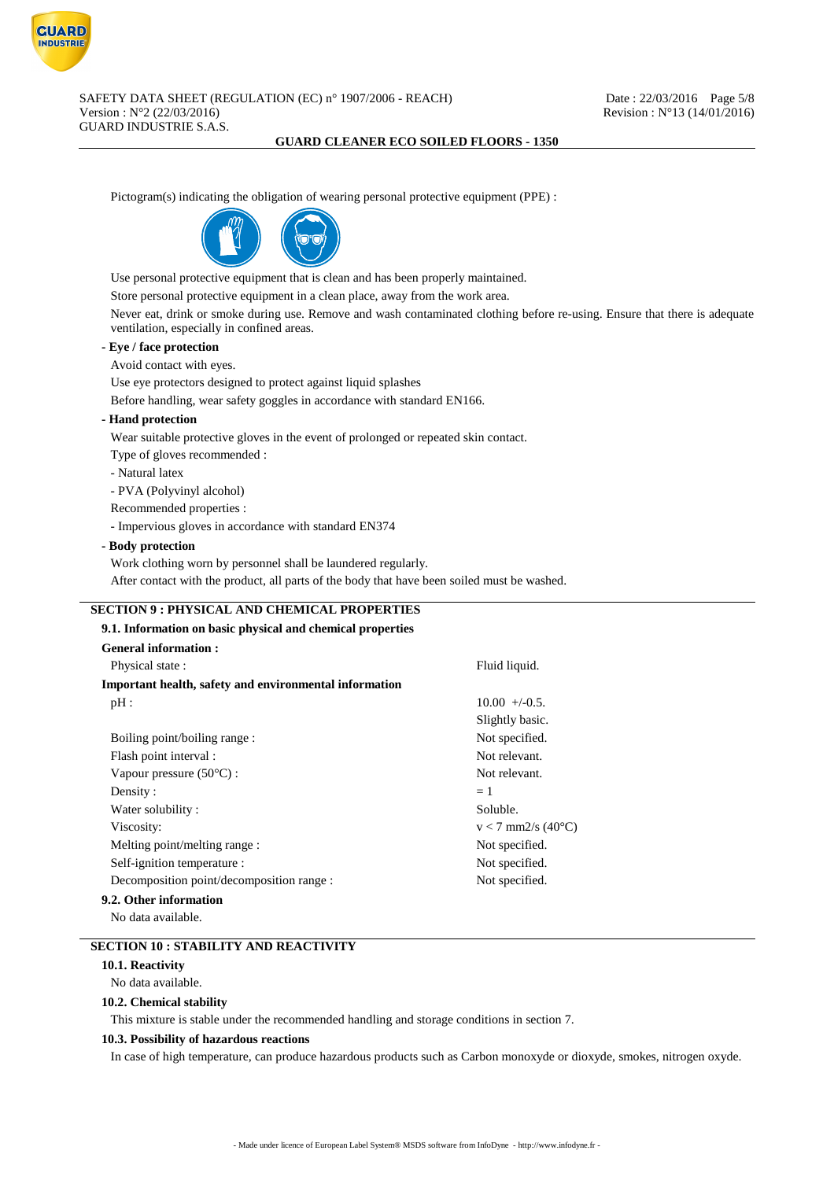

Pictogram(s) indicating the obligation of wearing personal protective equipment (PPE) :



Use personal protective equipment that is clean and has been properly maintained.

Store personal protective equipment in a clean place, away from the work area.

Never eat, drink or smoke during use. Remove and wash contaminated clothing before re-using. Ensure that there is adequate ventilation, especially in confined areas.

## **- Eye / face protection**

### Avoid contact with eyes.

Use eye protectors designed to protect against liquid splashes

Before handling, wear safety goggles in accordance with standard EN166.

### **- Hand protection**

Wear suitable protective gloves in the event of prolonged or repeated skin contact.

Type of gloves recommended :

- Natural latex

- PVA (Polyvinyl alcohol)

Recommended properties :

- Impervious gloves in accordance with standard EN374

### **- Body protection**

Work clothing worn by personnel shall be laundered regularly.

After contact with the product, all parts of the body that have been soiled must be washed.

## **SECTION 9 : PHYSICAL AND CHEMICAL PROPERTIES**

| 9.1. Information on basic physical and chemical properties |                      |
|------------------------------------------------------------|----------------------|
| <b>General information:</b>                                |                      |
| Physical state:                                            | Fluid liquid.        |
| Important health, safety and environmental information     |                      |
| pH:                                                        | $10.00 + (-0.5$      |
|                                                            | Slightly basic.      |
| Boiling point/boiling range:                               | Not specified.       |
| Flash point interval :                                     | Not relevant.        |
| Vapour pressure $(50^{\circ}C)$ :                          | Not relevant.        |
| Density:                                                   | $=1$                 |
| Water solubility:                                          | Soluble.             |
| Viscosity:                                                 | $v < 7$ mm2/s (40°C) |
| Melting point/melting range:                               | Not specified.       |
| Self-ignition temperature :                                | Not specified.       |
| Decomposition point/decomposition range :                  | Not specified.       |
| 9.2. Other information                                     |                      |
| No data available                                          |                      |

## **SECTION 10 : STABILITY AND REACTIVITY**

### **10.1. Reactivity**

No data available.

### **10.2. Chemical stability**

This mixture is stable under the recommended handling and storage conditions in section 7.

### **10.3. Possibility of hazardous reactions**

In case of high temperature, can produce hazardous products such as Carbon monoxyde or dioxyde, smokes, nitrogen oxyde.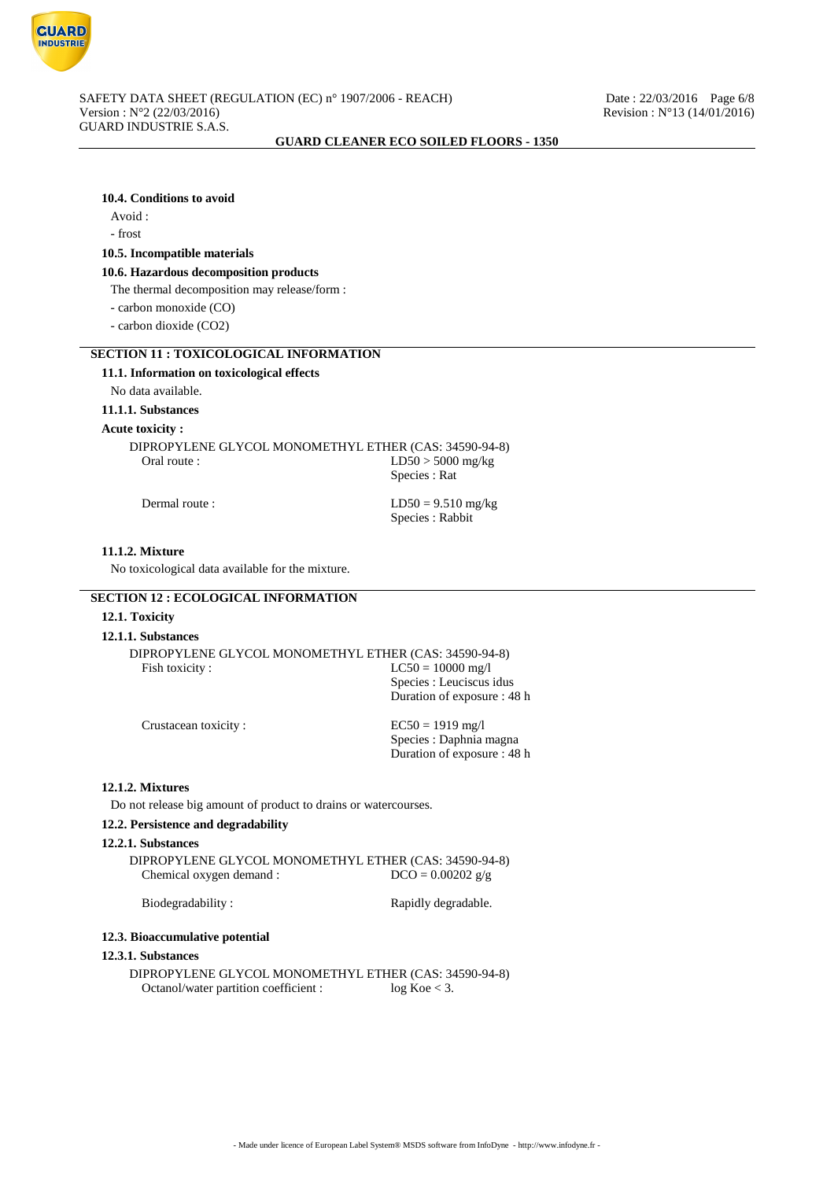

### **10.4. Conditions to avoid**

# Avoid :

## - frost

### **10.5. Incompatible materials**

#### **10.6. Hazardous decomposition products**

The thermal decomposition may release/form :

- carbon monoxide (CO)

- carbon dioxide (CO2)

### **SECTION 11 : TOXICOLOGICAL INFORMATION**

### **11.1. Information on toxicological effects**

No data available.

### **11.1.1. Substances**

#### **Acute toxicity :**

DIPROPYLENE GLYCOL MONOMETHYL ETHER (CAS: 34590-94-8) Oral route : LD50 > 5000 mg/kg Species : Rat

Dermal route :  $LD50 = 9.510$  mg/kg Species : Rabbit

### **11.1.2. Mixture**

No toxicological data available for the mixture.

## **SECTION 12 : ECOLOGICAL INFORMATION**

### **12.1. Toxicity**

### **12.1.1. Substances**

|                | DIPROPYLENE GLYCOL MONOMETHYL ETHER (CAS: 34590-94-8) |
|----------------|-------------------------------------------------------|
| Fish toxicity: | $LC50 = 10000$ mg/l                                   |
|                | Species : Leuciscus idus                              |
|                | Duration of exposure : 48 h                           |
|                |                                                       |

| $EC50 = 1919$ mg/l          |
|-----------------------------|
| Species : Daphnia magna     |
| Duration of exposure : 48 h |

### **12.1.2. Mixtures**

Do not release big amount of product to drains or watercourses.

## **12.2. Persistence and degradability**

Crustacean toxicity :

### **12.2.1. Substances**

DIPROPYLENE GLYCOL MONOMETHYL ETHER (CAS: 34590-94-8) Chemical oxygen demand :  $DCO = 0.00202 g/g$ 

Biodegradability : Rapidly degradable.

#### **12.3. Bioaccumulative potential**

#### **12.3.1. Substances**

DIPROPYLENE GLYCOL MONOMETHYL ETHER (CAS: 34590-94-8)<br>Octanol/water partition coefficient : log Koe < 3. Octanol/water partition coefficient :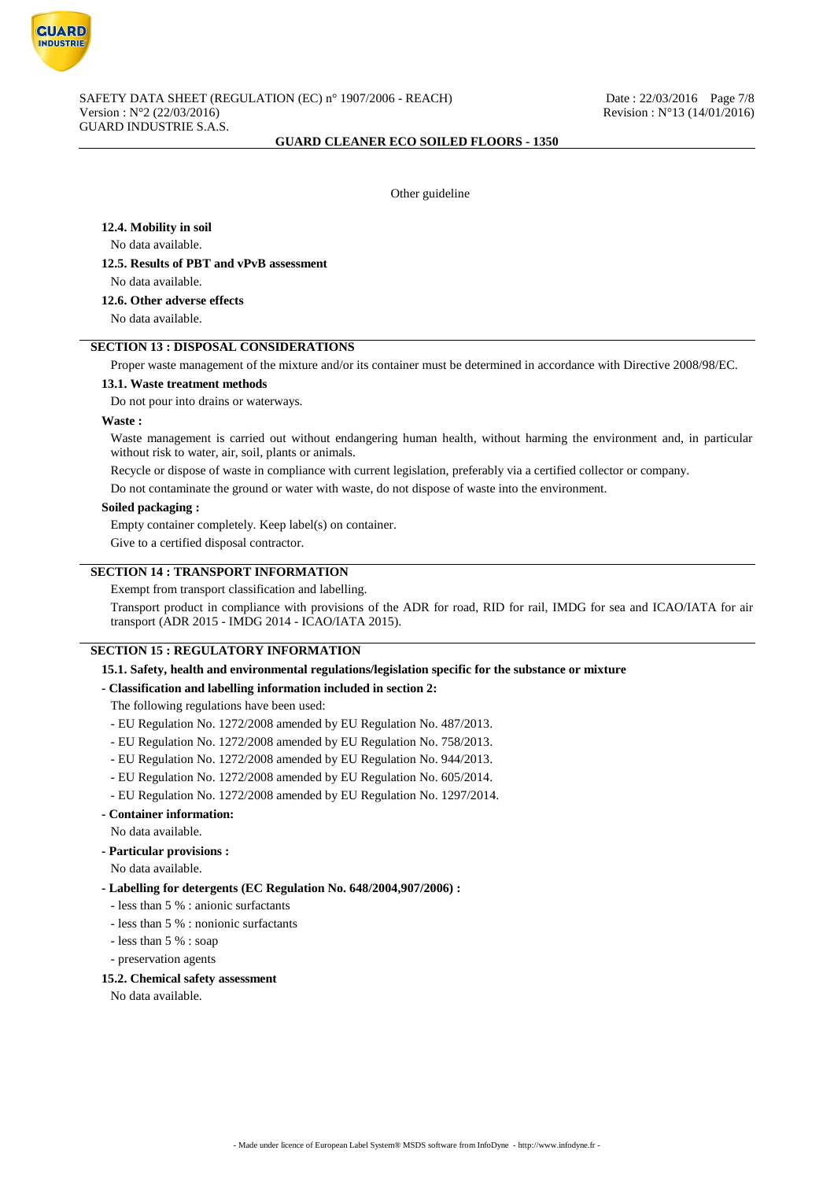

Other guideline

### **12.4. Mobility in soil**

No data available.

### **12.5. Results of PBT and vPvB assessment**

No data available.

## **12.6. Other adverse effects**

No data available.

## **SECTION 13 : DISPOSAL CONSIDERATIONS**

Proper waste management of the mixture and/or its container must be determined in accordance with Directive 2008/98/EC.

#### **13.1. Waste treatment methods**

Do not pour into drains or waterways.

#### **Waste :**

Waste management is carried out without endangering human health, without harming the environment and, in particular without risk to water, air, soil, plants or animals.

Recycle or dispose of waste in compliance with current legislation, preferably via a certified collector or company.

Do not contaminate the ground or water with waste, do not dispose of waste into the environment.

### **Soiled packaging :**

Empty container completely. Keep label(s) on container.

Give to a certified disposal contractor.

## **SECTION 14 : TRANSPORT INFORMATION**

Exempt from transport classification and labelling.

Transport product in compliance with provisions of the ADR for road, RID for rail, IMDG for sea and ICAO/IATA for air transport (ADR 2015 - IMDG 2014 - ICAO/IATA 2015).

### **SECTION 15 : REGULATORY INFORMATION**

**15.1. Safety, health and environmental regulations/legislation specific for the substance or mixture**

### **- Classification and labelling information included in section 2:**

The following regulations have been used:

- EU Regulation No. 1272/2008 amended by EU Regulation No. 487/2013.
- EU Regulation No. 1272/2008 amended by EU Regulation No. 758/2013.
- EU Regulation No. 1272/2008 amended by EU Regulation No. 944/2013.
- EU Regulation No. 1272/2008 amended by EU Regulation No. 605/2014.
- EU Regulation No. 1272/2008 amended by EU Regulation No. 1297/2014.
- **Container information:**

No data available.

**- Particular provisions :**

No data available.

#### **- Labelling for detergents (EC Regulation No. 648/2004,907/2006) :**

- less than 5 % : anionic surfactants
- less than 5 % : nonionic surfactants
- less than 5 % : soap
- preservation agents

#### **15.2. Chemical safety assessment**

No data available.